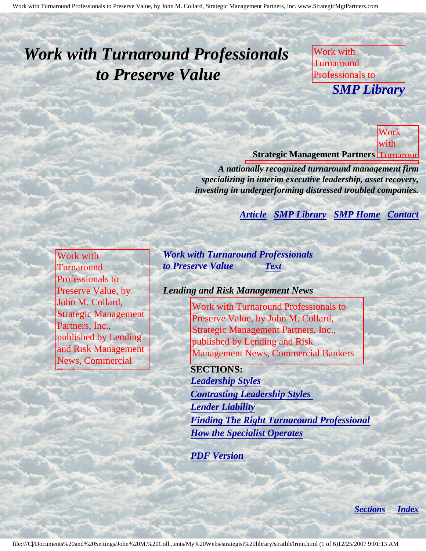# <span id="page-0-4"></span><span id="page-0-3"></span>*Work with Turnaround Professionals to Preserve Value*

Work with **Turnaround** Professionals to **SMP Libre** John M. Collard, *SMP Library*

Strategic Management

**Value** 

Collard, Strategic

Partners,

Lending and Risk

News,

Bankers

Management

**Commercial** 

Inc.,

by

Management

published by Lending and September 1988. The Lending September 1988 and 2008. The Lending September 1988 and 2013. The Lending September 1988 and 2014. In the Lending September 1988 and 2014. In the Lending September 1988 and Risk Management and Risk Management and Risk Management and Risk Management and Risk Management and Risk M **Strategic Management Partners Turnaroun** 

Partners, Inc.,

*A nationally recognized turnaround management firm* specializing in interim executive leadership, asset recovery, *investing in underperforming distressed troubled companies.* 

published by Lending and Risk

**Contact [Article](#page-0-0) [SMP Library](http://members.aol.com/stratlib3/libindx.html#TOP) [SMP Home](http://members.aol.com/strategist/home.html#TOP) [Contact](#page-4-0)** 

<span id="page-0-2"></span><span id="page-0-0"></span>Work with **Turnaround** Professionals to Preserve Value, by John M. Collard, Strategic Management Partners, Inc., published by Lending and Risk Management News, Commercial

<span id="page-0-1"></span>Bankers

*Work with Turnaround Professionals to Preserve Value [Text](#page-0-1)*

#### *Lending and Risk Management News*

Work with Turnaround Professionals to Preserve Value, by John M. Collard, Strategic Management Partners, Inc., published by Lending and Risk Management News, Commercial Bankers

**SECTIONS:** *[Leadership Styles](#page-1-0) [Contrasting Leadership Styles](#page-1-1)  [Lender Liability](#page-2-0) [Finding The Right Turnaround Professional](#page-2-1) [How the Specialist Operates](#page-3-0)*

*[PDF Version](http://members.aol.com/stratlib/lrm-work.pdf)* 

*[Sections](#page-0-2) [Index](#page-0-3)*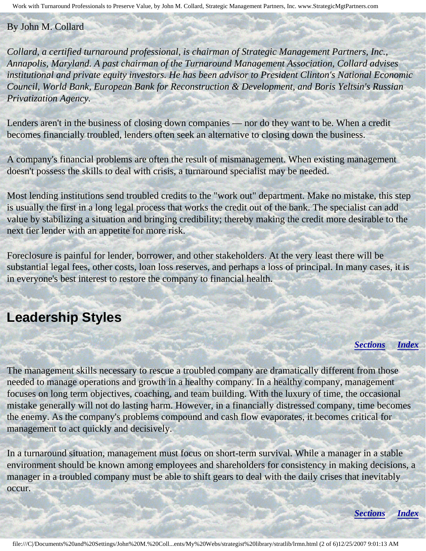#### By John M. Collard

*Collard, a certified turnaround professional, is chairman of Strategic Management Partners, Inc., Annapolis, Maryland. A past chairman of the Turnaround Management Association, Collard advises institutional and private equity investors. He has been advisor to President Clinton's National Economic Council, World Bank, European Bank for Reconstruction & Development, and Boris Yeltsin's Russian Privatization Agency.*

Lenders aren't in the business of closing down companies — nor do they want to be. When a credit becomes financially troubled, lenders often seek an alternative to closing down the business.

A company's financial problems are often the result of mismanagement. When existing management doesn't possess the skills to deal with crisis, a turnaround specialist may be needed.

Most lending institutions send troubled credits to the "work out" department. Make no mistake, this step is usually the first in a long legal process that works the credit out of the bank. The specialist can add value by stabilizing a situation and bringing credibility; thereby making the credit more desirable to the next tier lender with an appetite for more risk.

Foreclosure is painful for lender, borrower, and other stakeholders. At the very least there will be substantial legal fees, other costs, loan loss reserves, and perhaps a loss of principal. In many cases, it is in everyone's best interest to restore the company to financial health.

#### **Leadership Styles**

<span id="page-1-0"></span>į

#### *[Sections](#page-0-2) [Index](#page-0-3)*

The management skills necessary to rescue a troubled company are dramatically different from those needed to manage operations and growth in a healthy company. In a healthy company, management focuses on long term objectives, coaching, and team building. With the luxury of time, the occasional mistake generally will not do lasting harm. However, in a financially distressed company, time becomes the enemy. As the company's problems compound and cash flow evaporates, it becomes critical for management to act quickly and decisively.

<span id="page-1-1"></span>In a turnaround situation, management must focus on short-term survival. While a manager in a stable environment should be known among employees and shareholders for consistency in making decisions, a manager in a troubled company must be able to shift gears to deal with the daily crises that inevitably occur.

*[Sections](#page-0-2) [Index](#page-0-3)*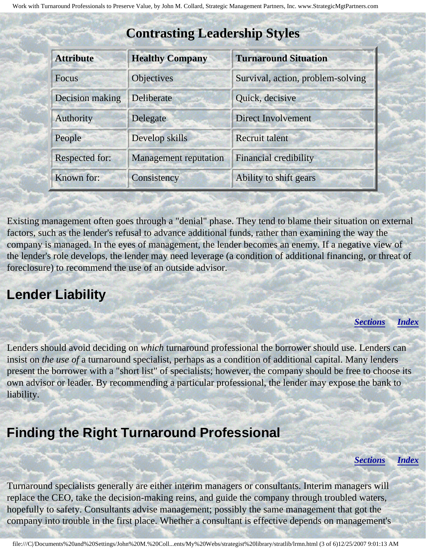| <b>Attribute</b> | <b>Healthy Company</b>       | <b>Turnaround Situation</b>       |  |  |
|------------------|------------------------------|-----------------------------------|--|--|
| <b>Focus</b>     | <b>Objectives</b>            | Survival, action, problem-solving |  |  |
| Decision making  | Deliberate                   | Quick, decisive                   |  |  |
| Authority        | Delegate                     | <b>Direct Involvement</b>         |  |  |
| People           | Develop skills               | <b>Recruit talent</b>             |  |  |
| Respected for:   | <b>Management</b> reputation | <b>Financial credibility</b>      |  |  |
| Known for:       | Consistency                  | Ability to shift gears            |  |  |

### **Contrasting Leadership Styles**

Existing management often goes through a "denial" phase. They tend to blame their situation on external factors, such as the lender's refusal to advance additional funds, rather than examining the way the company is managed. In the eyes of management, the lender becomes an enemy. If a negative view of the lender's role develops, the lender may need leverage (a condition of additional financing, or threat of foreclosure) to recommend the use of an outside advisor.

### <span id="page-2-0"></span>**Lender Liability**

*[Sections](#page-0-2) [Index](#page-0-3)*

Lenders should avoid deciding on *which* turnaround professional the borrower should use. Lenders can insist on *the use of* a turnaround specialist, perhaps as a condition of additional capital. Many lenders present the borrower with a "short list" of specialists; however, the company should be free to choose its own advisor or leader. By recommending a particular professional, the lender may expose the bank to liability.

## <span id="page-2-1"></span>**Finding the Right Turnaround Professional**

*[Sections](#page-0-2) [Index](#page-0-3)*

Turnaround specialists generally are either interim managers or consultants. Interim managers will replace the CEO, take the decision-making reins, and guide the company through troubled waters, hopefully to safety. Consultants advise management; possibly the same management that got the company into trouble in the first place. Whether a consultant is effective depends on management's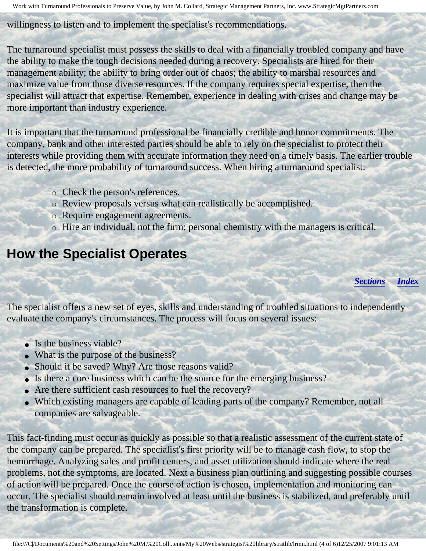Work with Turnaround Professionals to Preserve Value, by John M. Collard, Strategic Management Partners, Inc. www.StrategicMgtPartners.com

willingness to listen and to implement the specialist's recommendations.

The turnaround specialist must possess the skills to deal with a financially troubled company and have the ability to make the tough decisions needed during a recovery. Specialists are hired for their management ability; the ability to bring order out of chaos; the ability to marshal resources and maximize value from those diverse resources. If the company requires special expertise, then the specialist will attract that expertise. Remember, experience in dealing with crises and change may be more important than industry experience.

It is important that the turnaround professional be financially credible and honor commitments. The company, bank and other interested parties should be able to rely on the specialist to protect their interests while providing them with accurate information they need on a timely basis. The earlier trouble is detected, the more probability of turnaround success. When hiring a turnaround specialist:

- ❍ Check the person's references.
- ❍ Review proposals versus what can realistically be accomplished.
- ❍ Require engagement agreements.
- ❍ Hire an individual, not the firm; personal chemistry with the managers is critical.

## <span id="page-3-0"></span>**How the Specialist Operates**

*[Sections](#page-0-2) [Index](#page-0-3)*

The specialist offers a new set of eyes, skills and understanding of troubled situations to independently evaluate the company's circumstances. The process will focus on several issues:

- Is the business viable?
- What is the purpose of the business?
- Should it be saved? Why? Are those reasons valid?
- Is there a core business which can be the source for the emerging business?
- Are there sufficient cash resources to fuel the recovery?
- Which existing managers are capable of leading parts of the company? Remember, not all companies are salvageable.

This fact-finding must occur as quickly as possible so that a realistic assessment of the current state of the company can be prepared. The specialist's first priority will be to manage cash flow, to stop the hemorrhage. Analyzing sales and profit centers, and asset utilization should indicate where the real problems, not the symptoms, are located. Next a business plan outlining and suggesting possible courses of action will be prepared. Once the course of action is chosen, implementation and monitoring can occur. The specialist should remain involved at least until the business is stabilized, and preferably until the transformation is complete.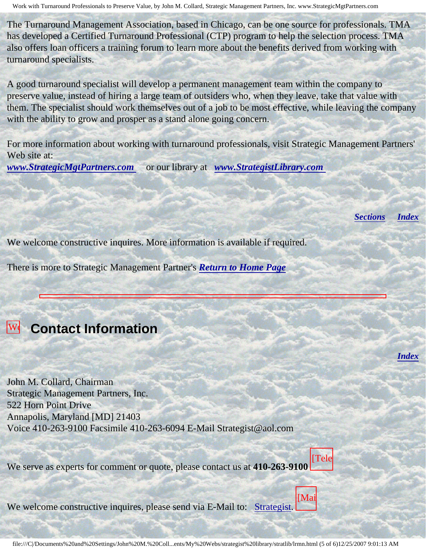Work with Turnaround Professionals to Preserve Value, by John M. Collard, Strategic Management Partners, Inc. www.StrategicMgtPartners.com

The Turnaround Management Association, based in Chicago, can be one source for professionals. TMA has developed a Certified Turnaround Professional (CTP) program to help the selection process. TMA also offers loan officers a training forum to learn more about the benefits derived from working with turnaround specialists.

A good turnaround specialist will develop a permanent management team within the company to preserve value, instead of hiring a large team of outsiders who, when they leave, take that value with them. The specialist should work themselves out of a job to be most effective, while leaving the company with the ability to grow and prosper as a stand alone going concern.

For more information about working with turnaround professionals, visit Strategic Management Partners' Web site at:

Work with Turnaround Professionals to Preserve Value, by John M. Collard, Strategic

Management Partners, Inc., published by Lending and Risk Management News,

*[www.StrategicMgtPartners.com](http://members.aol.com/strategist/home.html#TOP)* or our library at *[www.StrategistLibrary.com](http://members.aol.com/stratlib3/libindx.html#TOP)* 

*[Sections](#page-0-2) [Index](#page-0-3)*

*[Index](#page-0-3)*

We welcome constructive inquires. More information is available if required.

There is more to Strategic Management Partner's *[Return to Home Page](http://members.aol.com/strategist/home.html#TOP)*

#### <span id="page-4-0"></span>**W** Contact Information with

**Turnaround Street** Professionals

Collard, Strategic

Partners,

Inc.,

j

to John M. Collard, Chairman Strategic Management Partners, Inc. 522 Horn Point Drive Annapolis, Maryland [MD] 21403 M. Voice 410-263-9100 Facsimile 410-263-6094 E-Mail Strategist@aol.com

We serve as experts for comment or quote, please contact us at **410-263-9100** [Tele



 $W_{\alpha}$  welcom  $\ddot{\phantom{a}}$ We welcome constructive inquires, please send via E-Mail to: [Strategist.](mailto:Strategist@aol.com (library lrmn))